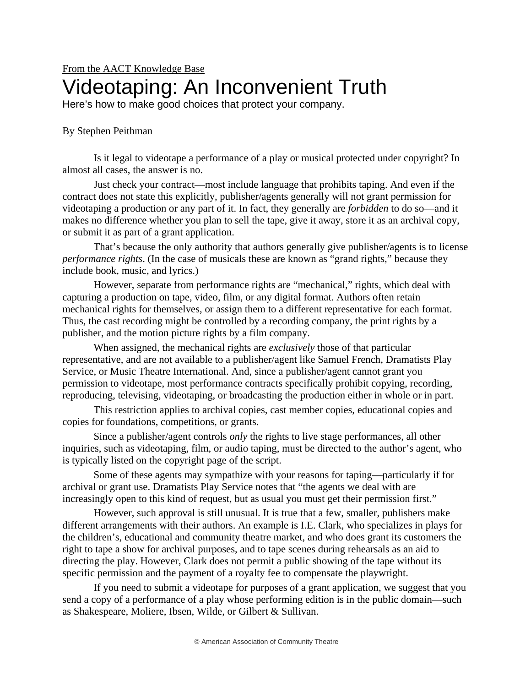## From the AACT Knowledge Base Videotaping: An Inconvenient Truth

Here's how to make good choices that protect your company.

## By Stephen Peithman

Is it legal to videotape a performance of a play or musical protected under copyright? In almost all cases, the answer is no.

Just check your contract—most include language that prohibits taping. And even if the contract does not state this explicitly, publisher/agents generally will not grant permission for videotaping a production or any part of it. In fact, they generally are *forbidden* to do so—and it makes no difference whether you plan to sell the tape, give it away, store it as an archival copy, or submit it as part of a grant application.

That's because the only authority that authors generally give publisher/agents is to license *performance rights*. (In the case of musicals these are known as "grand rights," because they include book, music, and lyrics.)

However, separate from performance rights are "mechanical," rights, which deal with capturing a production on tape, video, film, or any digital format. Authors often retain mechanical rights for themselves, or assign them to a different representative for each format. Thus, the cast recording might be controlled by a recording company, the print rights by a publisher, and the motion picture rights by a film company.

When assigned, the mechanical rights are *exclusively* those of that particular representative, and are not available to a publisher/agent like Samuel French, Dramatists Play Service, or Music Theatre International. And, since a publisher/agent cannot grant you permission to videotape, most performance contracts specifically prohibit copying, recording, reproducing, televising, videotaping, or broadcasting the production either in whole or in part.

This restriction applies to archival copies, cast member copies, educational copies and copies for foundations, competitions, or grants.

Since a publisher/agent controls *only* the rights to live stage performances, all other inquiries, such as videotaping, film, or audio taping, must be directed to the author's agent, who is typically listed on the copyright page of the script.

Some of these agents may sympathize with your reasons for taping—particularly if for archival or grant use. Dramatists Play Service notes that "the agents we deal with are increasingly open to this kind of request, but as usual you must get their permission first."

However, such approval is still unusual. It is true that a few, smaller, publishers make different arrangements with their authors. An example is I.E. Clark, who specializes in plays for the children's, educational and community theatre market, and who does grant its customers the right to tape a show for archival purposes, and to tape scenes during rehearsals as an aid to directing the play. However, Clark does not permit a public showing of the tape without its specific permission and the payment of a royalty fee to compensate the playwright.

If you need to submit a videotape for purposes of a grant application, we suggest that you send a copy of a performance of a play whose performing edition is in the public domain—such as Shakespeare, Moliere, Ibsen, Wilde, or Gilbert & Sullivan.